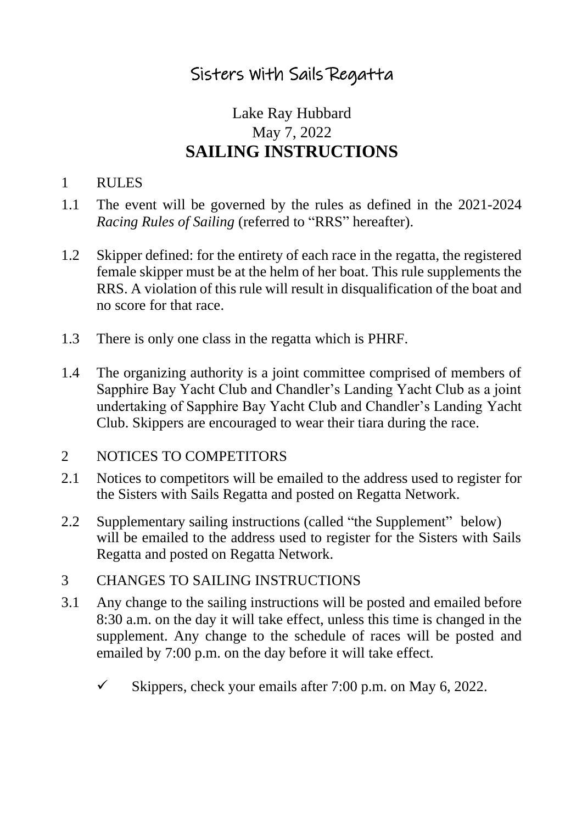# Sisters With Sails Regatta

## Lake Ray Hubbard May 7, 2022 **SAILING INSTRUCTIONS**

#### 1 RULES

- 1.1 The event will be governed by the rules as defined in the 2021-2024 *Racing Rules of Sailing* (referred to "RRS" hereafter).
- 1.2 Skipper defined: for the entirety of each race in the regatta, the registered female skipper must be at the helm of her boat. This rule supplements the RRS. A violation of this rule will result in disqualification of the boat and no score for that race.
- 1.3 There is only one class in the regatta which is PHRF.
- 1.4 The organizing authority is a joint committee comprised of members of Sapphire Bay Yacht Club and Chandler's Landing Yacht Club as a joint undertaking of Sapphire Bay Yacht Club and Chandler's Landing Yacht Club. Skippers are encouraged to wear their tiara during the race.

#### 2 NOTICES TO COMPETITORS

- 2.1 Notices to competitors will be emailed to the address used to register for the Sisters with Sails Regatta and posted on Regatta Network.
- 2.2 Supplementary sailing instructions (called "the Supplement" below) will be emailed to the address used to register for the Sisters with Sails Regatta and posted on Regatta Network.
- 3 CHANGES TO SAILING INSTRUCTIONS
- 3.1 Any change to the sailing instructions will be posted and emailed before 8:30 a.m. on the day it will take effect, unless this time is changed in the supplement. Any change to the schedule of races will be posted and emailed by 7:00 p.m. on the day before it will take effect.
	- $\checkmark$  Skippers, check your emails after 7:00 p.m. on May 6, 2022.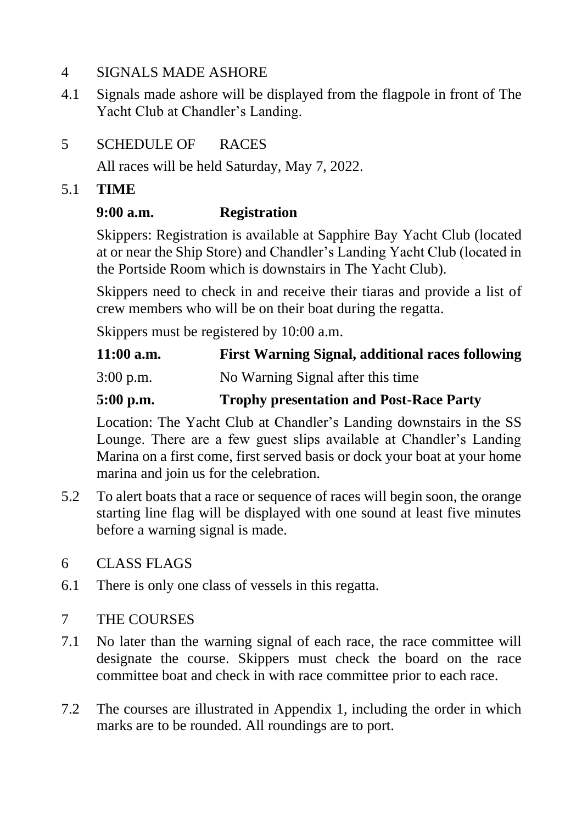#### 4 SIGNALS MADE ASHORE

4.1 Signals made ashore will be displayed from the flagpole in front of The Yacht Club at Chandler's Landing.

## 5 SCHEDULE OF RACES

All races will be held Saturday, May 7, 2022.

#### 5.1 **TIME**

## **9:00 a.m. Registration**

Skippers: Registration is available at Sapphire Bay Yacht Club (located at or near the Ship Store) and Chandler's Landing Yacht Club (located in the Portside Room which is downstairs in The Yacht Club).

Skippers need to check in and receive their tiaras and provide a list of crew members who will be on their boat during the regatta.

Skippers must be registered by 10:00 a.m.

| $11:00$ a.m. | <b>First Warning Signal, additional races following</b> |
|--------------|---------------------------------------------------------|
| $3:00$ p.m.  | No Warning Signal after this time                       |
|              |                                                         |

## **5:00 p.m. Trophy presentation and Post-Race Party**

Location: The Yacht Club at Chandler's Landing downstairs in the SS Lounge. There are a few guest slips available at Chandler's Landing Marina on a first come, first served basis or dock your boat at your home marina and join us for the celebration.

5.2 To alert boats that a race or sequence of races will begin soon, the orange starting line flag will be displayed with one sound at least five minutes before a warning signal is made.

## 6 CLASS FLAGS

6.1 There is only one class of vessels in this regatta.

## 7 THE COURSES

- 7.1 No later than the warning signal of each race, the race committee will designate the course. Skippers must check the board on the race committee boat and check in with race committee prior to each race.
- 7.2 The courses are illustrated in Appendix 1, including the order in which marks are to be rounded. All roundings are to port.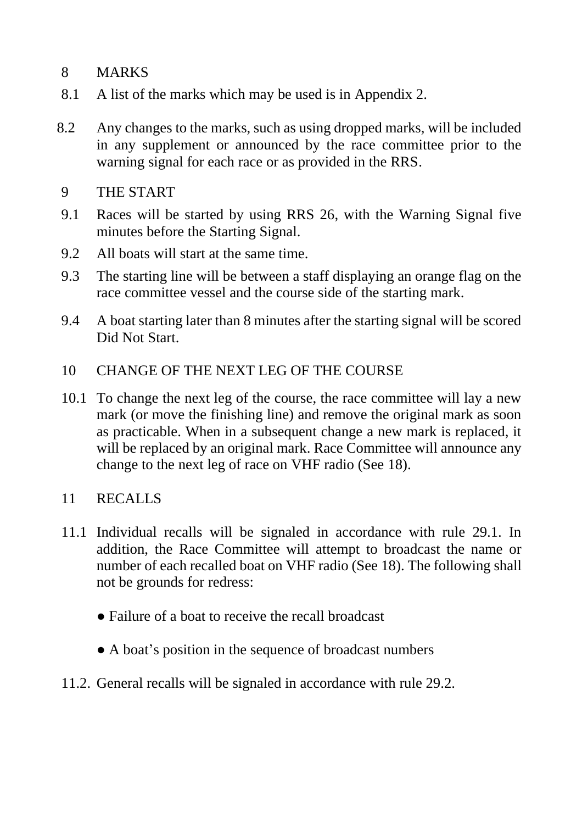## 8 MARKS

- 8.1 A list of the marks which may be used is in Appendix 2.
- 8.2 Any changes to the marks, such as using dropped marks, will be included in any supplement or announced by the race committee prior to the warning signal for each race or as provided in the RRS.
- 9 THE START
- 9.1 Races will be started by using RRS 26, with the Warning Signal five minutes before the Starting Signal.
- 9.2 All boats will start at the same time.
- 9.3 The starting line will be between a staff displaying an orange flag on the race committee vessel and the course side of the starting mark.
- 9.4 A boat starting later than 8 minutes after the starting signal will be scored Did Not Start.
- 10 CHANGE OF THE NEXT LEG OF THE COURSE
- 10.1 To change the next leg of the course, the race committee will lay a new mark (or move the finishing line) and remove the original mark as soon as practicable. When in a subsequent change a new mark is replaced, it will be replaced by an original mark. Race Committee will announce any change to the next leg of race on VHF radio (See 18).

#### 11 RECALLS

- 11.1 Individual recalls will be signaled in accordance with rule 29.1. In addition, the Race Committee will attempt to broadcast the name or number of each recalled boat on VHF radio (See 18). The following shall not be grounds for redress:
	- Failure of a boat to receive the recall broadcast
	- A boat's position in the sequence of broadcast numbers
- 11.2. General recalls will be signaled in accordance with rule 29.2.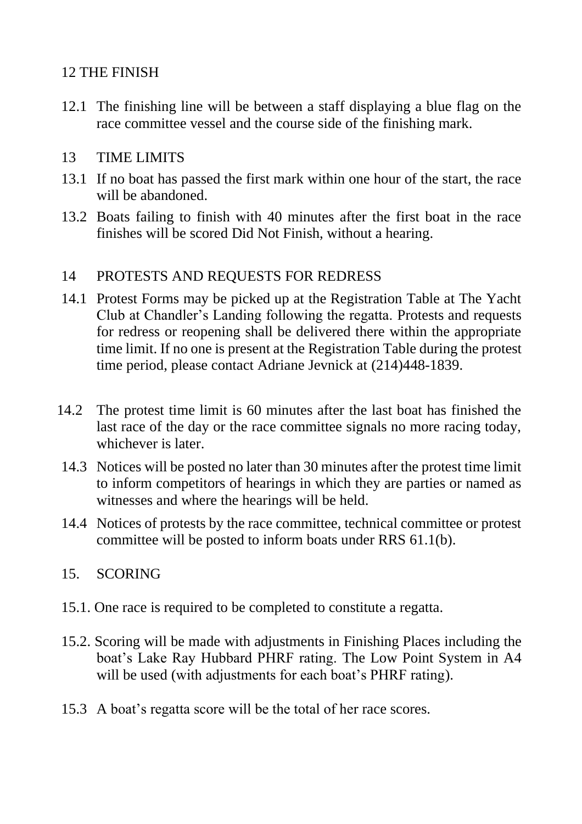## 12 THE FINISH

12.1 The finishing line will be between a staff displaying a blue flag on the race committee vessel and the course side of the finishing mark.

#### 13 TIME LIMITS

- 13.1 If no boat has passed the first mark within one hour of the start, the race will be abandoned.
- 13.2 Boats failing to finish with 40 minutes after the first boat in the race finishes will be scored Did Not Finish, without a hearing.

## 14 PROTESTS AND REQUESTS FOR REDRESS

- 14.1 Protest Forms may be picked up at the Registration Table at The Yacht Club at Chandler's Landing following the regatta. Protests and requests for redress or reopening shall be delivered there within the appropriate time limit. If no one is present at the Registration Table during the protest time period, please contact Adriane Jevnick at (214)448-1839.
- 14.2 The protest time limit is 60 minutes after the last boat has finished the last race of the day or the race committee signals no more racing today, whichever is later.
- 14.3 Notices will be posted no later than 30 minutes after the protest time limit to inform competitors of hearings in which they are parties or named as witnesses and where the hearings will be held.
- 14.4 Notices of protests by the race committee, technical committee or protest committee will be posted to inform boats under RRS 61.1(b).

## 15. SCORING

- 15.1. One race is required to be completed to constitute a regatta.
- 15.2. Scoring will be made with adjustments in Finishing Places including the boat's Lake Ray Hubbard PHRF rating. The Low Point System in A4 will be used (with adjustments for each boat's PHRF rating).
- 15.3 A boat's regatta score will be the total of her race scores.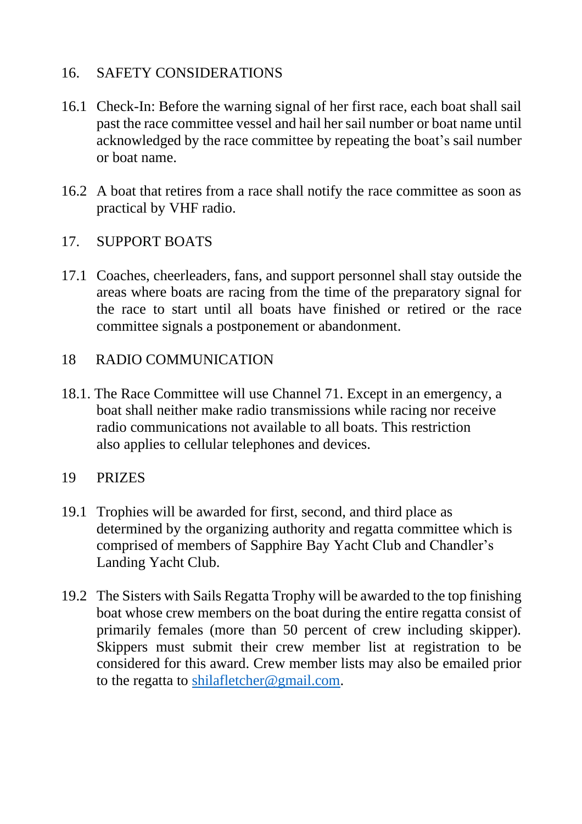## 16. SAFETY CONSIDERATIONS

- 16.1 Check-In: Before the warning signal of her first race, each boat shall sail past the race committee vessel and hail her sail number or boat name until acknowledged by the race committee by repeating the boat's sail number or boat name.
- 16.2 A boat that retires from a race shall notify the race committee as soon as practical by VHF radio.

#### 17. SUPPORT BOATS

17.1 Coaches, cheerleaders, fans, and support personnel shall stay outside the areas where boats are racing from the time of the preparatory signal for the race to start until all boats have finished or retired or the race committee signals a postponement or abandonment.

#### 18 RADIO COMMUNICATION

18.1. The Race Committee will use Channel 71. Except in an emergency, a boat shall neither make radio transmissions while racing nor receive radio communications not available to all boats. This restriction also applies to cellular telephones and devices.

#### 19 PRIZES

- 19.1 Trophies will be awarded for first, second, and third place as determined by the organizing authority and regatta committee which is comprised of members of Sapphire Bay Yacht Club and Chandler's Landing Yacht Club.
- 19.2 The Sisters with Sails Regatta Trophy will be awarded to the top finishing boat whose crew members on the boat during the entire regatta consist of primarily females (more than 50 percent of crew including skipper). Skippers must submit their crew member list at registration to be considered for this award. Crew member lists may also be emailed prior to the regatta to [shilafletcher@gmail.com.](mailto:shilafletcher@gmail.com)